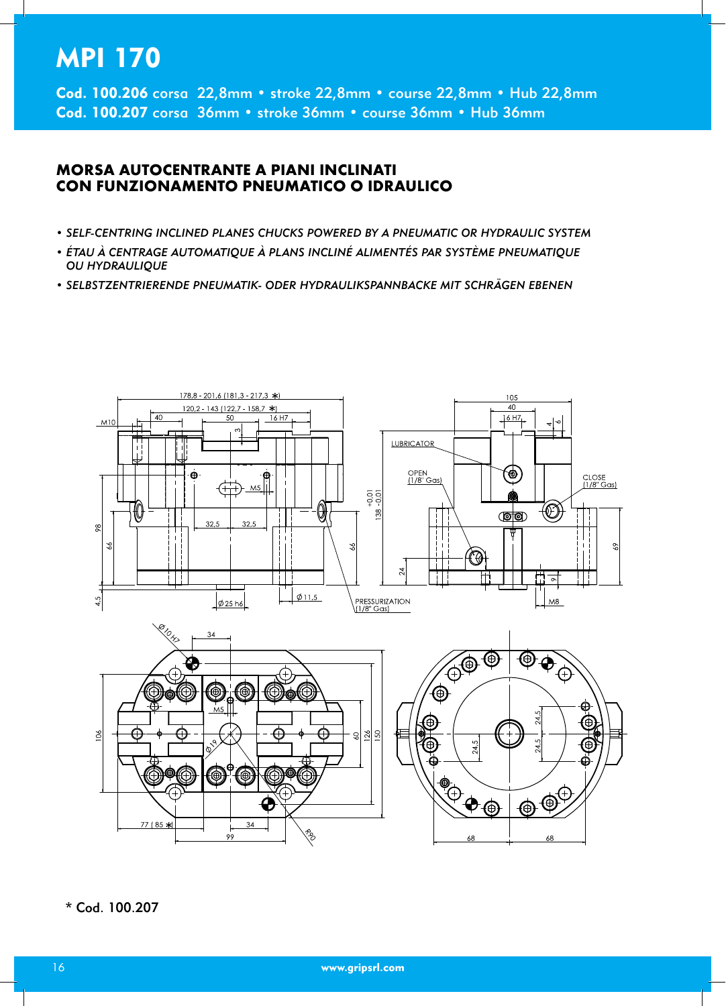# **MPI 170**

Cod. 100.206 corsa 22,8mm · stroke 22,8mm · course 22,8mm · Hub 22,8mm Cod. 100.207 corsa 36mm · stroke 36mm · course 36mm · Hub 36mm

### **MORSA AUTOCENTRANTE A PIANI INCLINATI** CON FUNZIONAMENTO PNEUMATICO O IDRAULICO

- SELF-CENTRING INCLINED PLANES CHUCKS POWERED BY A PNEUMATIC OR HYDRAULIC SYSTEM
- ÉTAU À CENTRAGE AUTOMATIQUE À PLANS INCLINÉ ALIMENTÉS PAR SYSTÈME PNEUMATIQUE OU HYDRAULIQUE
- SELBSTZENTRIERENDE PNEUMATIK- ODER HYDRAULIKSPANNBACKE MIT SCHRÄGEN EBENEN



\* Cod. 100.207